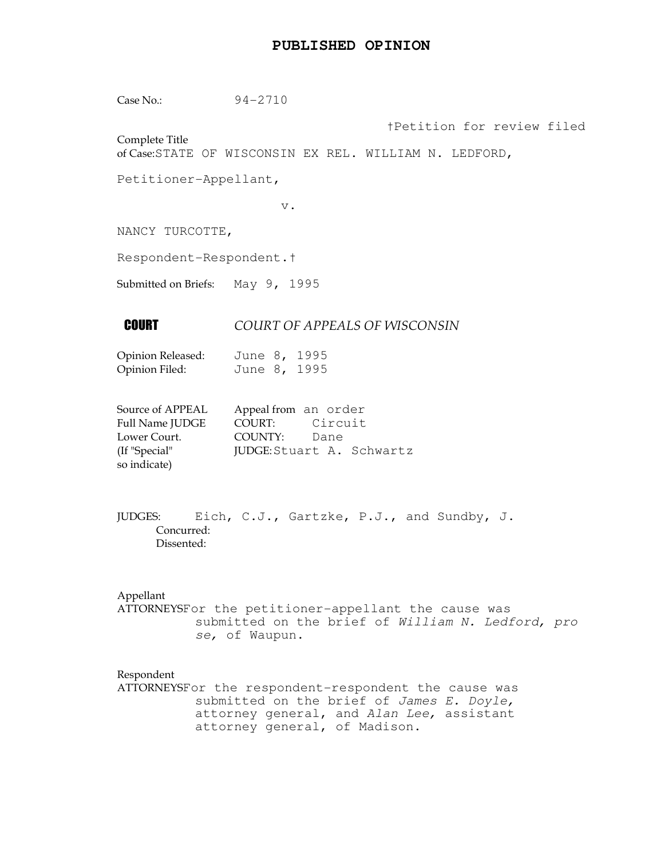### **PUBLISHED OPINION**

Case No.: 94-2710

Complete Title

†Petition for review filed

of Case:STATE OF WISCONSIN EX REL. WILLIAM N. LEDFORD,

Petitioner-Appellant,

v.

NANCY TURCOTTE,

Respondent-Respondent.†

Submitted on Briefs: May 9, 1995

# **COURT OF APPEALS OF WISCONSIN**

Opinion Released: June 8, 1995 Opinion Filed: June 8, 1995

| Source of APPEAL | Appeal from an order |                           |
|------------------|----------------------|---------------------------|
| Full Name JUDGE  | COURT: Circuit       |                           |
| Lower Court.     | COUNTY: Dane         |                           |
| (If "Special"    |                      | JUDGE: Stuart A. Schwartz |
| so indicate)     |                      |                           |

JUDGES: Eich, C.J., Gartzke, P.J., and Sundby, J. Concurred: Dissented:

#### Appellant

ATTORNEYSFor the petitioner-appellant the cause was submitted on the brief of William N. Ledford, pro se, of Waupun.

#### Respondent

ATTORNEYSFor the respondent-respondent the cause was submitted on the brief of James E. Doyle, attorney general, and Alan Lee, assistant attorney general, of Madison.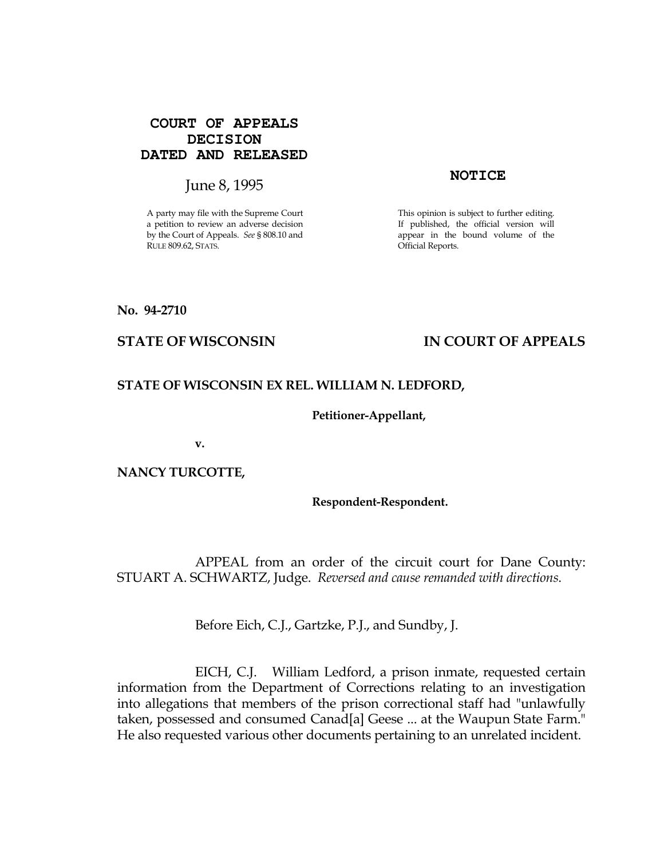## **COURT OF APPEALS DECISION DATED AND RELEASED**

# June 8, 1995 **NOTICE**

A party may file with the Supreme Court a petition to review an adverse decision by the Court of Appeals. See § 808.10 and RULE 809.62, STATS.

This opinion is subject to further editing. If published, the official version will appear in the bound volume of the Official Reports.

#### No. 94-2710

# STATE OF WISCONSIN THE RESERVE TO THE STATE OF APPEALS

### STATE OF WISCONSIN EX REL. WILLIAM N. LEDFORD,

#### Petitioner-Appellant,

v.

### NANCY TURCOTTE,

#### Respondent-Respondent.

 APPEAL from an order of the circuit court for Dane County: STUART A. SCHWARTZ, Judge. Reversed and cause remanded with directions.

Before Eich, C.J., Gartzke, P.J., and Sundby, J.

 EICH, C.J. William Ledford, a prison inmate, requested certain information from the Department of Corrections relating to an investigation into allegations that members of the prison correctional staff had "unlawfully taken, possessed and consumed Canad[a] Geese ... at the Waupun State Farm." He also requested various other documents pertaining to an unrelated incident.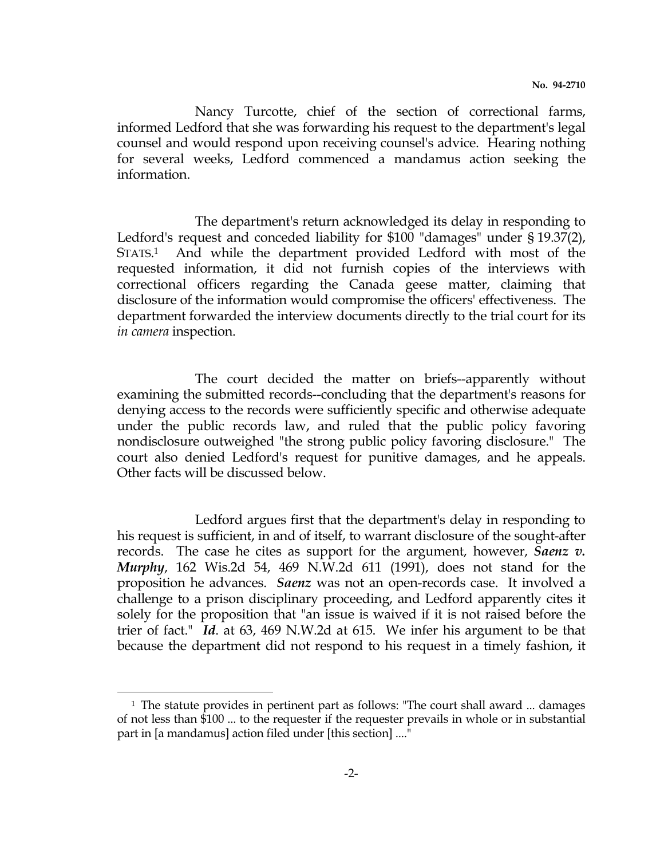Nancy Turcotte, chief of the section of correctional farms, informed Ledford that she was forwarding his request to the department's legal counsel and would respond upon receiving counsel's advice. Hearing nothing for several weeks, Ledford commenced a mandamus action seeking the information.

 The department's return acknowledged its delay in responding to Ledford's request and conceded liability for \$100 "damages" under § 19.37(2), STATS.<sup>1</sup> <sup>1</sup> And while the department provided Ledford with most of the requested information, it did not furnish copies of the interviews with correctional officers regarding the Canada geese matter, claiming that disclosure of the information would compromise the officers' effectiveness. The department forwarded the interview documents directly to the trial court for its in camera inspection.

 The court decided the matter on briefs--apparently without examining the submitted records--concluding that the department's reasons for denying access to the records were sufficiently specific and otherwise adequate under the public records law, and ruled that the public policy favoring nondisclosure outweighed "the strong public policy favoring disclosure." The court also denied Ledford's request for punitive damages, and he appeals. Other facts will be discussed below.

 Ledford argues first that the department's delay in responding to his request is sufficient, in and of itself, to warrant disclosure of the sought-after records. The case he cites as support for the argument, however, Saenz v. Murphy, 162 Wis.2d 54, 469 N.W.2d 611 (1991), does not stand for the proposition he advances. Saenz was not an open-records case. It involved a challenge to a prison disciplinary proceeding, and Ledford apparently cites it solely for the proposition that "an issue is waived if it is not raised before the trier of fact." Id. at 63, 469 N.W.2d at 615. We infer his argument to be that because the department did not respond to his request in a timely fashion, it

i

<sup>&</sup>lt;sup>1</sup> The statute provides in pertinent part as follows: "The court shall award ... damages of not less than \$100 ... to the requester if the requester prevails in whole or in substantial part in [a mandamus] action filed under [this section] ...."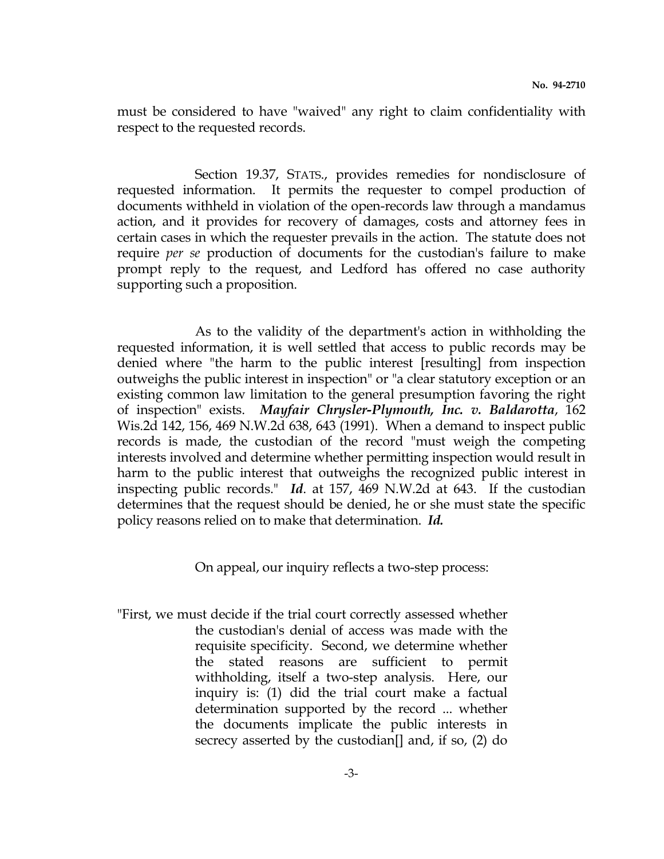must be considered to have "waived" any right to claim confidentiality with respect to the requested records.

 Section 19.37, STATS., provides remedies for nondisclosure of requested information. It permits the requester to compel production of documents withheld in violation of the open-records law through a mandamus action, and it provides for recovery of damages, costs and attorney fees in certain cases in which the requester prevails in the action. The statute does not require per se production of documents for the custodian's failure to make prompt reply to the request, and Ledford has offered no case authority supporting such a proposition.

 As to the validity of the department's action in withholding the requested information, it is well settled that access to public records may be denied where "the harm to the public interest [resulting] from inspection outweighs the public interest in inspection" or "a clear statutory exception or an existing common law limitation to the general presumption favoring the right of inspection" exists. Mayfair Chrysler-Plymouth, Inc. v. Baldarotta, 162 Wis.2d 142, 156, 469 N.W.2d 638, 643 (1991). When a demand to inspect public records is made, the custodian of the record "must weigh the competing interests involved and determine whether permitting inspection would result in harm to the public interest that outweighs the recognized public interest in inspecting public records." Id. at 157, 469 N.W.2d at 643. If the custodian determines that the request should be denied, he or she must state the specific policy reasons relied on to make that determination. Id.

On appeal, our inquiry reflects a two-step process:

"First, we must decide if the trial court correctly assessed whether the custodian's denial of access was made with the requisite specificity. Second, we determine whether the stated reasons are sufficient to permit withholding, itself a two-step analysis. Here, our inquiry is: (1) did the trial court make a factual determination supported by the record ... whether the documents implicate the public interests in secrecy asserted by the custodian[] and, if so, (2) do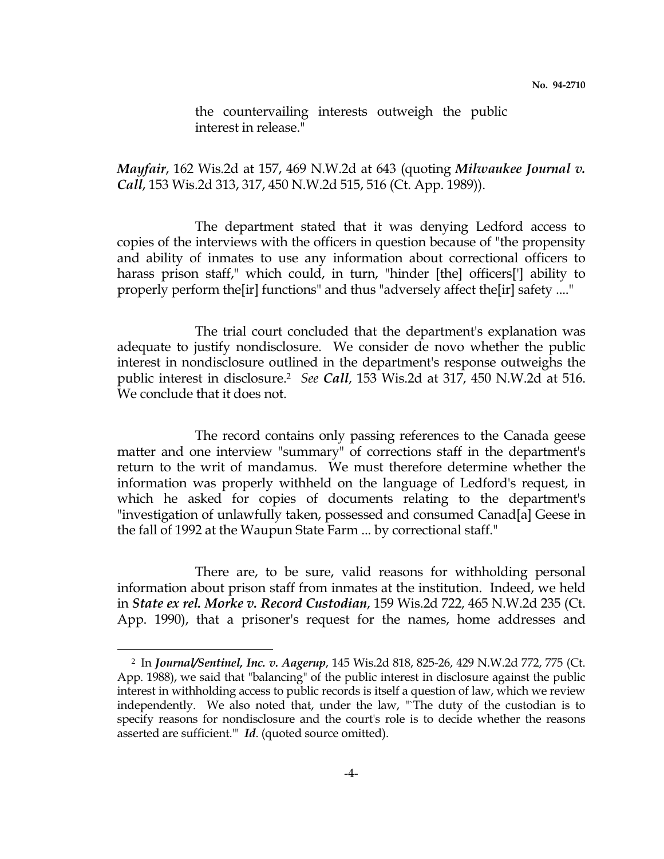the countervailing interests outweigh the public interest in release."

Mayfair, 162 Wis.2d at 157, 469 N.W.2d at 643 (quoting Milwaukee Journal v. Call, 153 Wis.2d 313, 317, 450 N.W.2d 515, 516 (Ct. App. 1989)).

 The department stated that it was denying Ledford access to copies of the interviews with the officers in question because of "the propensity and ability of inmates to use any information about correctional officers to harass prison staff," which could, in turn, "hinder [the] officers<sup>[']</sup> ability to properly perform the[ir] functions" and thus "adversely affect the[ir] safety ...."

 The trial court concluded that the department's explanation was adequate to justify nondisclosure. We consider de novo whether the public interest in nondisclosure outlined in the department's response outweighs the public interest in disclosure.<sup>2</sup> See Call, 153 Wis.2d at 317, 450 N.W.2d at 516. We conclude that it does not.

 The record contains only passing references to the Canada geese matter and one interview "summary" of corrections staff in the department's return to the writ of mandamus. We must therefore determine whether the information was properly withheld on the language of Ledford's request, in which he asked for copies of documents relating to the department's "investigation of unlawfully taken, possessed and consumed Canad[a] Geese in the fall of 1992 at the Waupun State Farm ... by correctional staff."

 There are, to be sure, valid reasons for withholding personal information about prison staff from inmates at the institution. Indeed, we held in State ex rel. Morke v. Record Custodian, 159 Wis.2d 722, 465 N.W.2d 235 (Ct. App. 1990), that a prisoner's request for the names, home addresses and

i<br>H

<sup>2</sup> In Journal/Sentinel, Inc. v. Aagerup, 145 Wis.2d 818, 825-26, 429 N.W.2d 772, 775 (Ct. App. 1988), we said that "balancing" of the public interest in disclosure against the public interest in withholding access to public records is itself a question of law, which we review independently. We also noted that, under the law, "`The duty of the custodian is to specify reasons for nondisclosure and the court's role is to decide whether the reasons asserted are sufficient." Id. (quoted source omitted).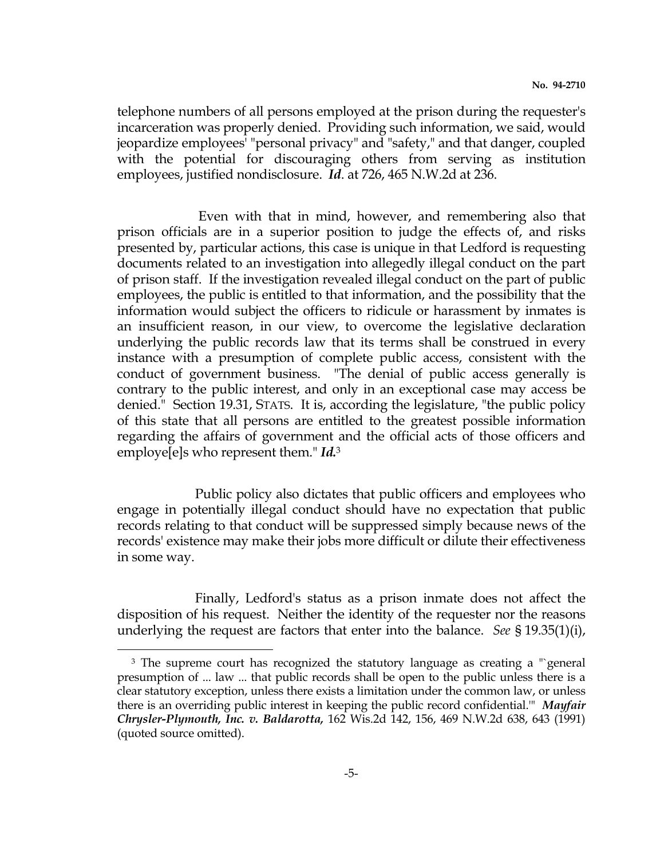telephone numbers of all persons employed at the prison during the requester's incarceration was properly denied. Providing such information, we said, would jeopardize employees' "personal privacy" and "safety," and that danger, coupled with the potential for discouraging others from serving as institution employees, justified nondisclosure. Id. at 726, 465 N.W.2d at 236.

 Even with that in mind, however, and remembering also that prison officials are in a superior position to judge the effects of, and risks presented by, particular actions, this case is unique in that Ledford is requesting documents related to an investigation into allegedly illegal conduct on the part of prison staff. If the investigation revealed illegal conduct on the part of public employees, the public is entitled to that information, and the possibility that the information would subject the officers to ridicule or harassment by inmates is an insufficient reason, in our view, to overcome the legislative declaration underlying the public records law that its terms shall be construed in every instance with a presumption of complete public access, consistent with the conduct of government business. "The denial of public access generally is contrary to the public interest, and only in an exceptional case may access be denied." Section 19.31, STATS. It is, according the legislature, "the public policy of this state that all persons are entitled to the greatest possible information regarding the affairs of government and the official acts of those officers and employe<sup>[e]</sup>s who represent them."  $Id^3$ 

 Public policy also dictates that public officers and employees who engage in potentially illegal conduct should have no expectation that public records relating to that conduct will be suppressed simply because news of the records' existence may make their jobs more difficult or dilute their effectiveness in some way.

 Finally, Ledford's status as a prison inmate does not affect the disposition of his request. Neither the identity of the requester nor the reasons underlying the request are factors that enter into the balance. See  $\S 19.35(1)(i)$ ,

i<br>H

<sup>&</sup>lt;sup>3</sup> The supreme court has recognized the statutory language as creating a "`general presumption of ... law ... that public records shall be open to the public unless there is a clear statutory exception, unless there exists a limitation under the common law, or unless there is an overriding public interest in keeping the public record confidential." Mayfair Chrysler-Plymouth, Inc. v. Baldarotta, 162 Wis.2d 142, 156, 469 N.W.2d 638, 643 (1991) (quoted source omitted).